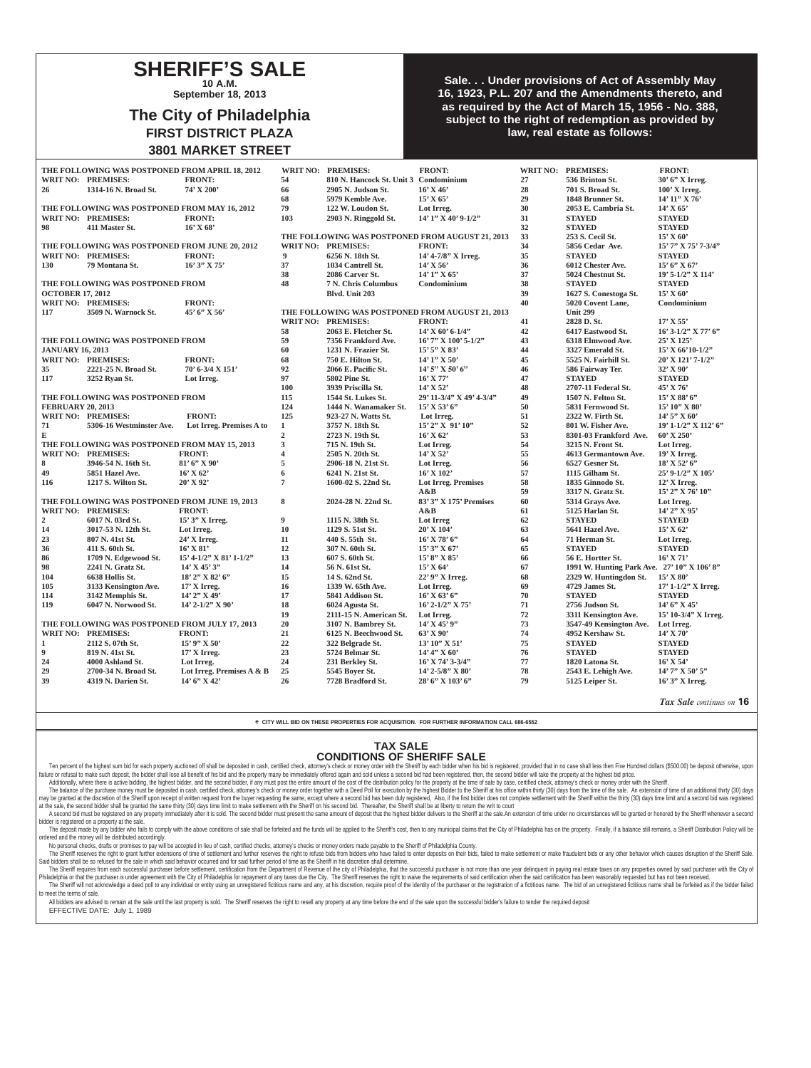### **SHERIFF'S SALE 10 A.M.**

**September 18, 2013**

# **The City of Philadelphia FIRST DISTRICT PLAZA 3801 MARKET STREET**

### **Sale. . . Under provisions of Act of Assembly May 16, 1923, P.L. 207 and the Amendments thereto, and as required by the Act of March 15, 1956 - No. 388, subject to the right of redemption as provided by law, real estate as follows:**

|                                                |                                            | THE FOLLOWING WAS POSTPONED FROM APRIL 18, 2012 |                           |                         | WRIT NO: PREMISES:                         | <b>FRONT:</b>                                    |                                                 | WRIT NO: PREMISES:                          | <b>FRONT:</b>             |
|------------------------------------------------|--------------------------------------------|-------------------------------------------------|---------------------------|-------------------------|--------------------------------------------|--------------------------------------------------|-------------------------------------------------|---------------------------------------------|---------------------------|
|                                                |                                            | <b>WRIT NO: PREMISES:</b>                       | <b>FRONT:</b>             | 54                      | 810 N. Hancock St. Unit 3 Condominium      |                                                  | 27                                              | 536 Brinton St.                             | 30' 6" X Irreg.           |
|                                                | 26                                         | 1314-16 N. Broad St.                            | 74' X 200'                | 66                      | 2905 N. Judson St.                         | $16'$ X 46'                                      | 28                                              | 701 S. Broad St.                            | $100'$ X Irreg.           |
|                                                |                                            |                                                 |                           | 68                      | 5979 Kemble Ave.                           | 15' X 65'                                        | 29                                              | 1848 Brunner St.                            | 14' 11" X 76'             |
|                                                |                                            | THE FOLLOWING WAS POSTPONED FROM MAY 16, 2012   |                           | 79                      | 122 W. Loudon St.                          | Lot Irreg.                                       | 30                                              | 2053 E. Cambria St.                         | $14'$ X 65'               |
|                                                |                                            | WRIT NO: PREMISES:                              | <b>FRONT:</b>             | 103                     | 2903 N. Ringgold St.                       | 14' 1" X 40' 9-1/2"                              | 31                                              | <b>STAYED</b>                               | <b>STAYED</b>             |
|                                                | 98                                         | 411 Master St.                                  | $16'$ X 68'               |                         |                                            |                                                  | 32                                              | <b>STAYED</b>                               | <b>STAYED</b>             |
|                                                |                                            |                                                 |                           |                         |                                            | THE FOLLOWING WAS POSTPONED FROM AUGUST 21, 2013 | 33                                              | 253 S. Cecil St.                            | 15' X 60'                 |
|                                                |                                            | THE FOLLOWING WAS POSTPONED FROM JUNE 20, 2012  |                           |                         | WRIT NO: PREMISES:                         | <b>FRONT:</b>                                    | 34                                              | 5856 Cedar Ave.                             | 15' 7" X 75' 7-3/4"       |
|                                                |                                            | WRIT NO: PREMISES:                              | <b>FRONT:</b>             | 9                       | 6256 N. 18th St.                           | 14' 4-7/8" X Irreg.                              | 35                                              | <b>STAYED</b>                               | <b>STAYED</b>             |
|                                                | 130                                        | 79 Montana St.                                  | $16'3''$ X 75'            | 37                      | 1034 Cantrell St.                          | $14'$ X 56'                                      | 36                                              | 6012 Chester Ave.                           | 15' 6''  X 67'            |
|                                                |                                            |                                                 |                           | 38                      | 2086 Carver St.                            | 14' 1" X 65'                                     | 37                                              | 5024 Chestnut St.                           | 19' 5-1/2" X 114'         |
|                                                | THE FOLLOWING WAS POSTPONED FROM           |                                                 |                           | 48                      | <b>7 N. Chris Columbus</b>                 | Condominium                                      | 38                                              | <b>STAYED</b>                               | <b>STAYED</b>             |
|                                                | <b>OCTOBER 17, 2012</b>                    |                                                 |                           |                         | Blvd. Unit 203                             |                                                  | 39                                              | 1627 S. Conestoga St.                       | $15'$ X 60'               |
|                                                |                                            | WRIT NO: PREMISES:                              | <b>FRONT:</b>             |                         |                                            |                                                  | 40                                              | 5020 Covent Lane,                           | Condominium               |
|                                                | 45' 6" X 56'<br>117<br>3509 N. Warnock St. |                                                 |                           |                         |                                            | THE FOLLOWING WAS POSTPONED FROM AUGUST 21, 2013 |                                                 | <b>Unit 299</b>                             |                           |
|                                                |                                            |                                                 |                           |                         | WRIT NO: PREMISES:                         | <b>FRONT:</b>                                    | 41                                              | 2828 D. St.                                 | 17' X 55'                 |
|                                                |                                            |                                                 |                           | 58                      | 2063 E. Fletcher St.                       | $14'$ X 60' 6-1/4"                               | 42                                              | 6417 Eastwood St.                           | $16'$ 3-1/2" X 77' 6"     |
|                                                |                                            | THE FOLLOWING WAS POSTPONED FROM                |                           | 59                      | 7356 Frankford Ave.                        | $16'$ 7" X $100'$ 5-1/2"                         | 43                                              | 6318 Elmwood Ave.                           | 25' X 125'                |
|                                                | <b>JANUARY 16, 2013</b>                    |                                                 |                           | 60                      | 1231 N. Frazier St.                        | $15'5''$ X 83'                                   | 44                                              | 3327 Emerald St.                            | $15'$ X 66'10-1/2"        |
|                                                |                                            | WRIT NO: PREMISES:                              | <b>FRONT:</b>             | 68                      | 750 E. Hilton St.                          | $14'1''$ X 50'                                   | 45                                              | 5525 N. Fairhill St.                        | 20' X 121' 7-1/2"         |
|                                                | 35                                         | 2221-25 N. Broad St.                            | $70'$ 6-3/4 X 151'        | 92                      | 2066 E. Pacific St.                        | $14'5''$ X 50' 6"                                | 46                                              | 586 Fairway Ter.                            | 32' X 90'                 |
|                                                | 117                                        | 3252 Ryan St.                                   | Lot Irreg.                | 97                      | 5802 Pine St.                              | $16'$ X 77'                                      | 47                                              | <b>STAYED</b>                               | <b>STAYED</b>             |
|                                                |                                            |                                                 |                           | 100                     | 3939 Priscilla St.                         | $14'$ X 52'                                      | 48                                              | 2707-11 Federal St.                         | 45' X 76'                 |
|                                                |                                            | THE FOLLOWING WAS POSTPONED FROM                |                           | 115                     | 1544 St. Lukes St.                         | 29' 11-3/4" X 49' 4-3/4"                         | 49                                              | 1507 N. Felton St.                          | $15'$ X 88' 6"            |
|                                                | <b>FEBRUARY 20, 2013</b>                   |                                                 |                           | 124                     | 1444 N. Wanamaker St.                      | $15'$ X 53' 6"                                   | 50                                              | 5831 Fernwood St.                           | 15' 10" X 80'             |
|                                                |                                            | WRIT NO: PREMISES:                              | <b>FRONT:</b>             | 125                     | 923-27 N. Watts St.                        | Lot Irreg.                                       | 51                                              | 2322 W. Firth St.                           | $14'5''$ X 60'            |
|                                                | 71                                         | 5306-16 Westminster Ave.                        | Lot Irreg. Premises A to  | $\mathbf{1}$            | 3757 N. 18th St.                           | 15' 2" X 91' 10"                                 | $52\,$                                          | 801 W. Fisher Ave.                          | 19' 1-1/2" X 112' 6"      |
|                                                | ${\bf E}$                                  |                                                 |                           | $\overline{2}$          | 2723 N. 19th St.                           | $16'$ X 62'                                      | 53                                              | 8301-03 Frankford Ave.                      | $60'$ X 250'              |
|                                                |                                            | THE FOLLOWING WAS POSTPONED FROM MAY 15, 2013   |                           | $\overline{\mathbf{3}}$ | 715 N. 19th St.                            | Lot Irreg.                                       | 54                                              | 3215 N. Front St.                           | Lot Irreg.                |
|                                                |                                            | WRIT NO: PREMISES:                              | <b>FRONT:</b>             | $\overline{\mathbf{4}}$ | 2505 N. 20th St.                           | 14' X 52'                                        | 55                                              | 4613 Germantown Ave.                        | $19'$ X Irreg.            |
|                                                | 8                                          | 3946-54 N. 16th St.                             | $81'$ 6" X 90"            | 5                       | 2906-18 N. 21st St.                        | Lot Irreg.                                       | 56                                              | 6527 Gesner St.                             | $18'$ X 52' 6"            |
|                                                | 49                                         | 5851 Hazel Ave.                                 | $16'$ X 62'               | 6                       | 6241 N. 21st St.                           | 16' X 102'                                       | 57                                              | 1115 Gilham St.                             | 25' 9-1/2" X 105'         |
|                                                | 116                                        | 1217 S. Wilton St.                              | $20'$ X 92'               | $\overline{7}$          | 1600-02 S. 22nd St.                        | <b>Lot Irreg. Premises</b>                       | 58                                              | 1835 Ginnodo St.                            | $12'$ X Irreg.            |
|                                                |                                            |                                                 |                           |                         |                                            | A&B                                              | 59                                              | 3317 N. Gratz St.                           | 15' 2" X 76' 10"          |
| THE FOLLOWING WAS POSTPONED FROM JUNE 19, 2013 |                                            |                                                 | 8                         | 2024-28 N. 22nd St.     | 83' 3" X 175' Premises                     | 60                                               | 5314 Grays Ave.                                 | Lot Irreg.                                  |                           |
|                                                |                                            | WRIT NO: PREMISES:                              | <b>FRONT:</b>             |                         |                                            | A&B                                              | 61                                              | 5125 Harlan St.                             | 14' 2" X 95'              |
|                                                | $\overline{2}$                             | 6017 N. 03rd St.                                | 15' 3" X Irreg.           | 9                       | 1115 N. 38th St.                           | Lot Irreg                                        | 62                                              | <b>STAYED</b>                               | <b>STAYED</b>             |
|                                                | 14                                         | 3017-53 N. 12th St.                             | Lot Irreg.                | 10                      | 1129 S. 51st St.                           | 20' X 104'                                       | 63                                              | 5641 Hazel Ave.                             | $15'$ X 62'               |
|                                                | 23                                         | 807 N. 41st St.                                 | 24' X Irreg.              | 11                      | 440 S. 55th St.                            | $16'$ X 78' 6"                                   | 64                                              | 71 Herman St.                               | Lot Irreg.                |
|                                                | 36                                         | 411 S. 60th St.                                 | $16'$ X 81'               | 12                      | 307 N. 60th St.                            | $15'3''$ X 67'                                   | 65                                              | <b>STAYED</b>                               | <b>STAYED</b>             |
|                                                | 86                                         | 1709 N. Edgewood St.                            | 15' 4-1/2" X 81' 1-1/2"   | 13                      | 607 S. 60th St.                            | 15' 8" X 85'                                     | 66                                              | 56 E. Hortter St.                           | $16'$ X 71'               |
|                                                | 98                                         | 2241 N. Gratz St.                               | $14'$ X $45'$ 3"          | 14                      | 56 N. 61st St.                             | $15'$ X 64'                                      | 67                                              | 1991 W. Hunting Park Ave. 27' 10" X 106' 8" |                           |
|                                                | 104                                        | 6638 Hollis St.                                 | $18'$ 2" X 82' 6"         | 15                      | 14 S. 62nd St.                             | 22' 9" X Irreg.                                  | 68                                              | 2329 W. Huntingdon St.                      | $15'$ X 80'               |
|                                                | 105                                        | 3133 Kensington Ave.                            | $17'$ X Irreg.            | 16                      | 1339 W. 65th Ave.                          | Lot Irreg.                                       | 69                                              | 4729 James St.                              | 17' 1-1/2" X Irreg.       |
|                                                | 114                                        | 3142 Memphis St.                                | 14' 2" X 49'              | 17                      | 5841 Addison St.                           | $16'$ X 63' 6"                                   | 70                                              | <b>STAYED</b>                               | <b>STAYED</b>             |
|                                                | 119                                        | 6047 N. Norwood St.                             | 14' 2-1/2" X 90'          | 18                      | 6024 Agusta St.<br>2111-15 N. American St. | 16' 2-1/2" X 75'                                 | ${\bf 71}$                                      | 2756 Judson St.                             | $14'6''$ X 45'            |
| THE FOLLOWING WAS POSTPONED FROM JULY 17, 2013 |                                            |                                                 | 19                        |                         | Lot Irreg.<br>14' X 45' 9"                 | 72                                               | 3311 Kensington Ave.<br>3547-49 Kensington Ave. | 15' 10-3/4" X Irreg.                        |                           |
|                                                |                                            | WRIT NO: PREMISES:<br><b>FRONT:</b>             |                           | 20                      | 3107 N. Bambrey St.                        | 63' X 90'                                        | 73                                              | 4952 Kershaw St.                            | Lot Irreg.<br>$14'$ X 70' |
|                                                |                                            |                                                 | $15'$ 9" X 50'            | 21<br>$22\,$            | 6125 N. Beechwood St.<br>322 Belgrade St.  |                                                  | 74<br>75                                        | <b>STAYED</b>                               | <b>STAYED</b>             |
|                                                | 1<br>9                                     | 2112 S. 07th St.<br>819 N. 41st St.             | $17'$ X Irreg.            | 23                      | 5724 Belmar St.                            | $13'10''$ X 51'<br>$14' 4''$ X 60'               | 76                                              | <b>STAYED</b>                               | <b>STAYED</b>             |
|                                                | 24                                         | 4000 Ashland St.                                | Lot Irreg.                | 24                      | 231 Berkley St.                            | $16'$ X 74' 3-3/4"                               | 77                                              | 1820 Latona St.                             | $16'$ X 54'               |
|                                                | 29                                         | 2700-34 N. Broad St.                            | Lot Irreg. Premises A & B | 25                      | 5545 Boyer St.                             | $14'$ 2-5/8" X 80'                               | 78                                              | 2543 E. Lehigh Ave.                         | $14'$ 7" X 50' 5"         |
|                                                | 39                                         | 4319 N. Darien St.                              | 14' 6" X 42'              | 26                      | 7728 Bradford St.                          | 28' 6" X 103' 6"                                 | 79                                              | 5125 Leiper St.                             | 16' 3" X Irreg.           |
|                                                |                                            |                                                 |                           |                         |                                            |                                                  |                                                 |                                             |                           |

*Tax Sale continues on* **16**

**e CITY WILL BID ON THESE PROPERTIES FOR ACQUISITION. FOR FURTHER INFORMATION CALL 686-6552**

#### **TAX SALE**

#### **CONDITIONS OF SHERIFF SALE**

Ten percent of the highest sum bid for each property auctioned off shall be deposited in cash, certified check, attorney's check or money order with the Sheriff by each bidder when his bid is registered, provided that in n failure or refusal to make such deposit, the bidder shall lose all benefit of his bid and the property many be immediately offered again and sold unless a second bid had been registered, then, the second bidder will take t

Additionally, where there is active bidding, the highest bidder, and the second bidder, if any must post the entire amount of the cost of the distribution policy for the property at the thre bread post of also, certified c may be granted at the discretion of the Sheriff upon receipt of written request from the buyer requesting the same, except where a second bid has been duly registered. Also, if the first bidder does not complete settlement

at the sale, the second bidder shall be granted the same thirty (30) days time limit to make settlement with the Sheriff on his second bid. Thereafter, the Sheriff shall be at liberty to return the writ to court A second bid must be registered on any property immediately after it is sold. The second bidder must present the same amount of deposit that the highest bidder delivers to the Sheriff at the sale. An extension of time unde

bidder is registered on a property at the sale. The deposit made by any bidder who fails to comply with the above conditions of sale shall be forfeited and the funds will be applied to the Sheriff's cost, then to any municipal claims that the City of Philadelphia has on

ordered and the money will be distributed accordingly.<br>No personal checks, drafts or promises to pay will be accepted in lieu of cash, certified checks, attorney's checks or money orders made payable to the Sheriff of Phil The Sheriff reserves the right to grant further extensions of time of settlement and further reserves the right to refuse bids from bidders who have failed to enter deposits on their bids, failed to make settlement or make

Said bidders shall be so refused for the sale in which said behavior occurred and for said further period of time as the Sheriff in his discretion shall determine. The Sheriff requires from each successful purchaser before settlement, certification from the Department of Revenue of the city of Philadelphia, that the successful purchaser is not more than one year delinquent in paying Philadelphia or that the purchaser is under agreement with the City of Philadelphia for repayment of any taxes due the City. The Sheriff reserves the right to waive the requirements of said certification when the said cert The Sheriff will not acknowledge a deed poll to any individual or entity using an unregistered fictitious name and any, at his discretion, require proof of the identity of the purchaser or the registration of a fictitious

to meet the terms of sale. All bidders are advised to remain at the sale until the last property is sold. The Sheriff reserves the right to resell any property at any time before the end of the sale upon the successful bidder's failure to tender the

EFFECTIVE DATE: July 1, 1989